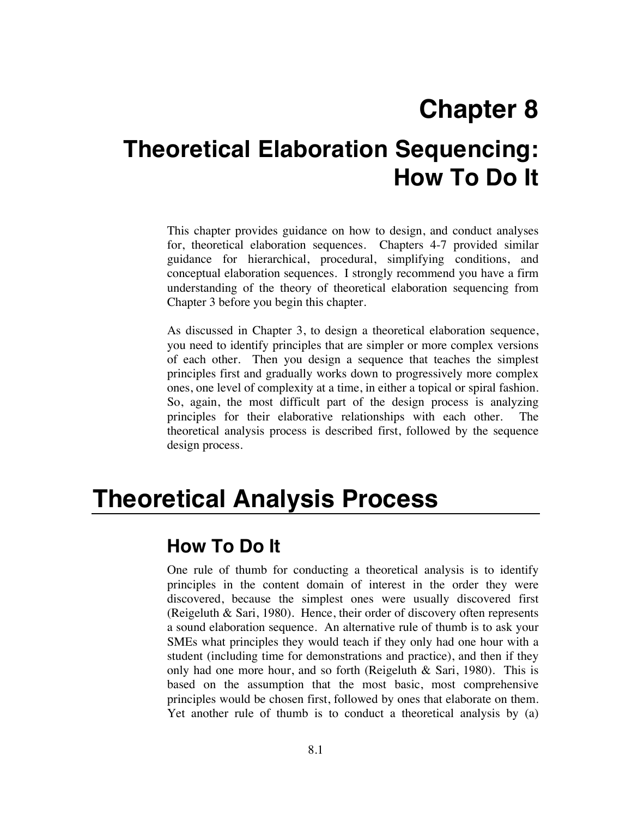# **Chapter 8**

# **Theoretical Elaboration Sequencing: How To Do It**

This chapter provides guidance on how to design, and conduct analyses for, theoretical elaboration sequences. Chapters 4-7 provided similar guidance for hierarchical, procedural, simplifying conditions, and conceptual elaboration sequences. I strongly recommend you have a firm understanding of the theory of theoretical elaboration sequencing from Chapter 3 before you begin this chapter.

As discussed in Chapter 3, to design a theoretical elaboration sequence, you need to identify principles that are simpler or more complex versions of each other. Then you design a sequence that teaches the simplest principles first and gradually works down to progressively more complex ones, one level of complexity at a time, in either a topical or spiral fashion. So, again, the most difficult part of the design process is analyzing principles for their elaborative relationships with each other. The theoretical analysis process is described first, followed by the sequence design process.

# **Theoretical Analysis Process**

# **How To Do It**

One rule of thumb for conducting a theoretical analysis is to identify principles in the content domain of interest in the order they were discovered, because the simplest ones were usually discovered first (Reigeluth & Sari, 1980). Hence, their order of discovery often represents a sound elaboration sequence. An alternative rule of thumb is to ask your SMEs what principles they would teach if they only had one hour with a student (including time for demonstrations and practice), and then if they only had one more hour, and so forth (Reigeluth  $\&$  Sari, 1980). This is based on the assumption that the most basic, most comprehensive principles would be chosen first, followed by ones that elaborate on them. Yet another rule of thumb is to conduct a theoretical analysis by (a)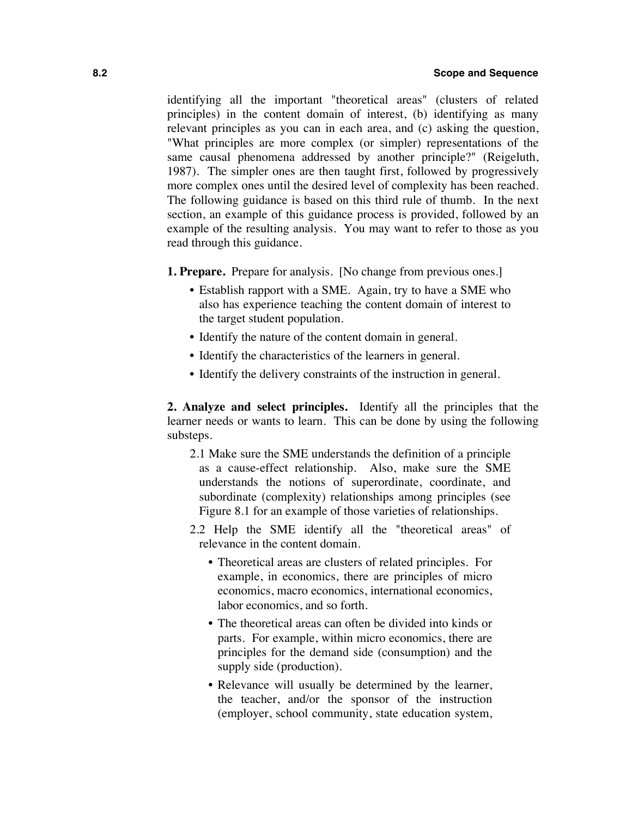identifying all the important "theoretical areas" (clusters of related principles) in the content domain of interest, (b) identifying as many relevant principles as you can in each area, and (c) asking the question, "What principles are more complex (or simpler) representations of the same causal phenomena addressed by another principle?" (Reigeluth, 1987). The simpler ones are then taught first, followed by progressively more complex ones until the desired level of complexity has been reached. The following guidance is based on this third rule of thumb. In the next section, an example of this guidance process is provided, followed by an example of the resulting analysis. You may want to refer to those as you read through this guidance.

**1. Prepare.** Prepare for analysis. [No change from previous ones.]

- Establish rapport with a SME. Again, try to have a SME who also has experience teaching the content domain of interest to the target student population.
- Identify the nature of the content domain in general.
- Identify the characteristics of the learners in general.
- Identify the delivery constraints of the instruction in general.

**2. Analyze and select principles.** Identify all the principles that the learner needs or wants to learn. This can be done by using the following substeps.

- 2.1 Make sure the SME understands the definition of a principle as a cause-effect relationship. Also, make sure the SME understands the notions of superordinate, coordinate, and subordinate (complexity) relationships among principles (see Figure 8.1 for an example of those varieties of relationships.
- 2.2 Help the SME identify all the "theoretical areas" of relevance in the content domain.
	- Theoretical areas are clusters of related principles. For example, in economics, there are principles of micro economics, macro economics, international economics, labor economics, and so forth.
	- The theoretical areas can often be divided into kinds or parts. For example, within micro economics, there are principles for the demand side (consumption) and the supply side (production).
	- Relevance will usually be determined by the learner, the teacher, and/or the sponsor of the instruction (employer, school community, state education system,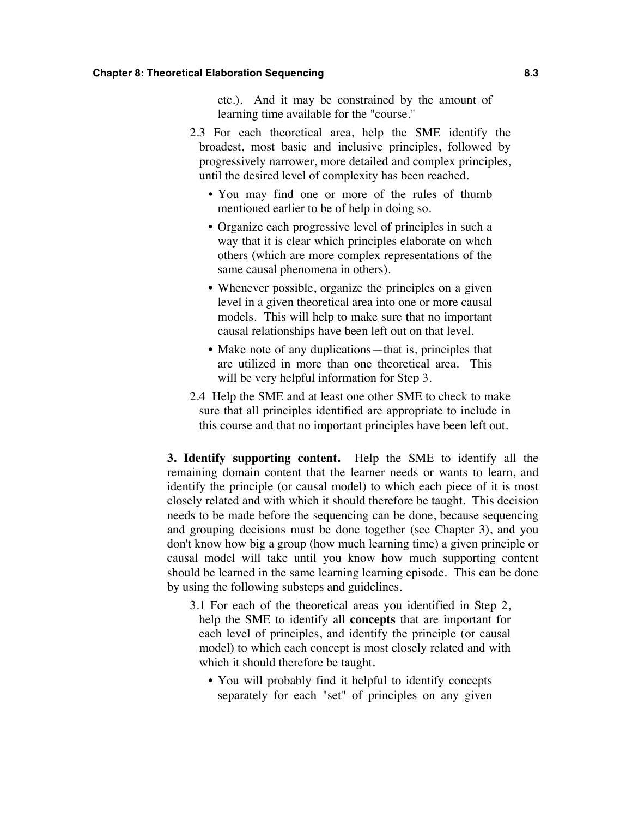#### **Chapter 8: Theoretical Elaboration Sequencing 8.3**

etc.). And it may be constrained by the amount of learning time available for the "course."

- 2.3 For each theoretical area, help the SME identify the broadest, most basic and inclusive principles, followed by progressively narrower, more detailed and complex principles, until the desired level of complexity has been reached.
	- You may find one or more of the rules of thumb mentioned earlier to be of help in doing so.
	- Organize each progressive level of principles in such a way that it is clear which principles elaborate on whch others (which are more complex representations of the same causal phenomena in others).
	- Whenever possible, organize the principles on a given level in a given theoretical area into one or more causal models. This will help to make sure that no important causal relationships have been left out on that level.
	- Make note of any duplications—that is, principles that are utilized in more than one theoretical area. This will be very helpful information for Step 3.
- 2.4 Help the SME and at least one other SME to check to make sure that all principles identified are appropriate to include in this course and that no important principles have been left out.

**3. Identify supporting content.** Help the SME to identify all the remaining domain content that the learner needs or wants to learn, and identify the principle (or causal model) to which each piece of it is most closely related and with which it should therefore be taught. This decision needs to be made before the sequencing can be done, because sequencing and grouping decisions must be done together (see Chapter 3), and you don't know how big a group (how much learning time) a given principle or causal model will take until you know how much supporting content should be learned in the same learning learning episode. This can be done by using the following substeps and guidelines.

- 3.1 For each of the theoretical areas you identified in Step 2, help the SME to identify all **concepts** that are important for each level of principles, and identify the principle (or causal model) to which each concept is most closely related and with which it should therefore be taught.
	- You will probably find it helpful to identify concepts separately for each "set" of principles on any given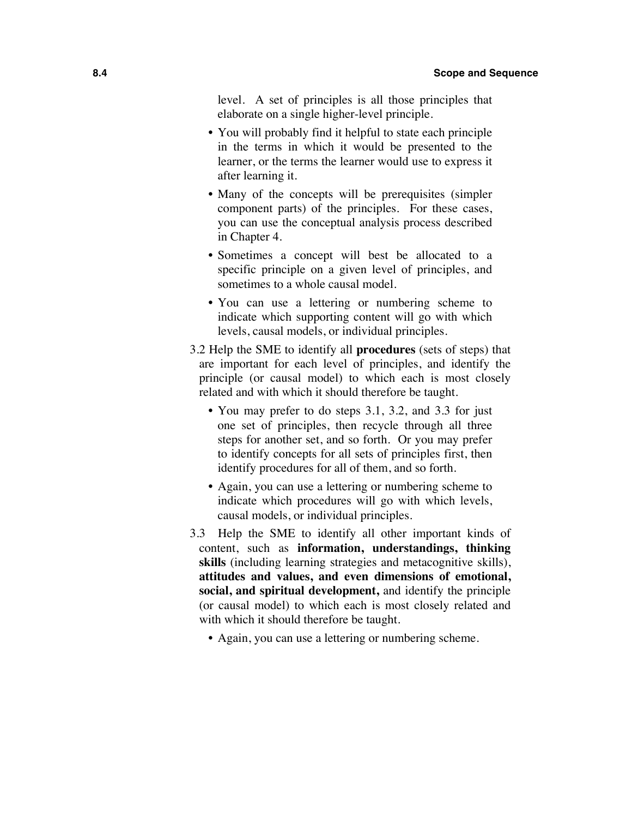level. A set of principles is all those principles that elaborate on a single higher-level principle.

- You will probably find it helpful to state each principle in the terms in which it would be presented to the learner, or the terms the learner would use to express it after learning it.
- Many of the concepts will be prerequisites (simpler component parts) of the principles. For these cases, you can use the conceptual analysis process described in Chapter 4.
- Sometimes a concept will best be allocated to a specific principle on a given level of principles, and sometimes to a whole causal model.
- You can use a lettering or numbering scheme to indicate which supporting content will go with which levels, causal models, or individual principles.
- 3.2 Help the SME to identify all **procedures** (sets of steps) that are important for each level of principles, and identify the principle (or causal model) to which each is most closely related and with which it should therefore be taught.
	- You may prefer to do steps 3.1, 3.2, and 3.3 for just one set of principles, then recycle through all three steps for another set, and so forth. Or you may prefer to identify concepts for all sets of principles first, then identify procedures for all of them, and so forth.
	- Again, you can use a lettering or numbering scheme to indicate which procedures will go with which levels, causal models, or individual principles.
- 3.3 Help the SME to identify all other important kinds of content, such as **information, understandings, thinking skills** (including learning strategies and metacognitive skills), **attitudes and values, and even dimensions of emotional, social, and spiritual development,** and identify the principle (or causal model) to which each is most closely related and with which it should therefore be taught.
	- Again, you can use a lettering or numbering scheme.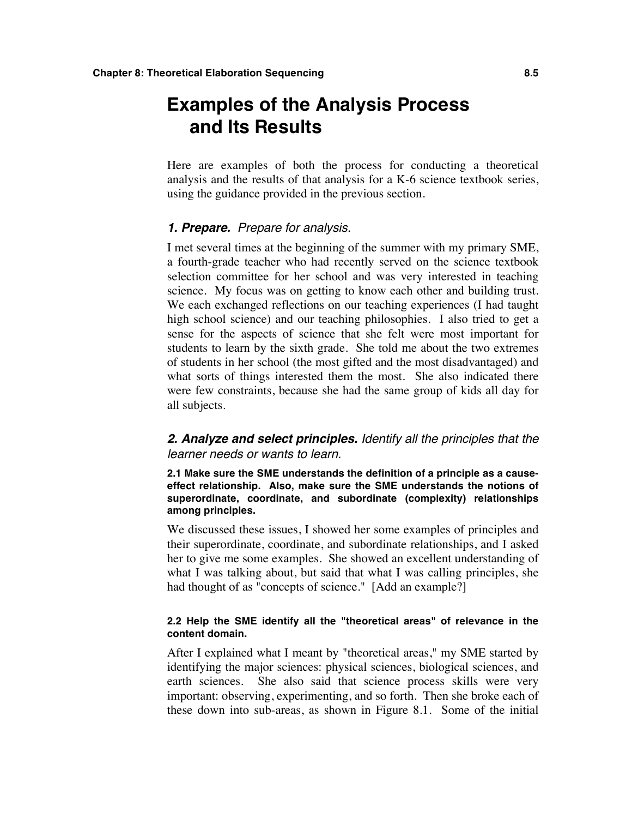# **Examples of the Analysis Process and Its Results**

Here are examples of both the process for conducting a theoretical analysis and the results of that analysis for a K-6 science textbook series, using the guidance provided in the previous section.

# *1. Prepare. Prepare for analysis.*

I met several times at the beginning of the summer with my primary SME, a fourth-grade teacher who had recently served on the science textbook selection committee for her school and was very interested in teaching science. My focus was on getting to know each other and building trust. We each exchanged reflections on our teaching experiences (I had taught high school science) and our teaching philosophies. I also tried to get a sense for the aspects of science that she felt were most important for students to learn by the sixth grade. She told me about the two extremes of students in her school (the most gifted and the most disadvantaged) and what sorts of things interested them the most. She also indicated there were few constraints, because she had the same group of kids all day for all subjects.

# *2. Analyze and select principles. Identify all the principles that the learner needs or wants to learn.*

**2.1 Make sure the SME understands the definition of a principle as a causeeffect relationship. Also, make sure the SME understands the notions of superordinate, coordinate, and subordinate (complexity) relationships among principles.**

We discussed these issues, I showed her some examples of principles and their superordinate, coordinate, and subordinate relationships, and I asked her to give me some examples. She showed an excellent understanding of what I was talking about, but said that what I was calling principles, she had thought of as "concepts of science." [Add an example?]

#### **2.2 Help the SME identify all the "theoretical areas" of relevance in the content domain.**

After I explained what I meant by "theoretical areas," my SME started by identifying the major sciences: physical sciences, biological sciences, and earth sciences. She also said that science process skills were very important: observing, experimenting, and so forth. Then she broke each of these down into sub-areas, as shown in Figure 8.1. Some of the initial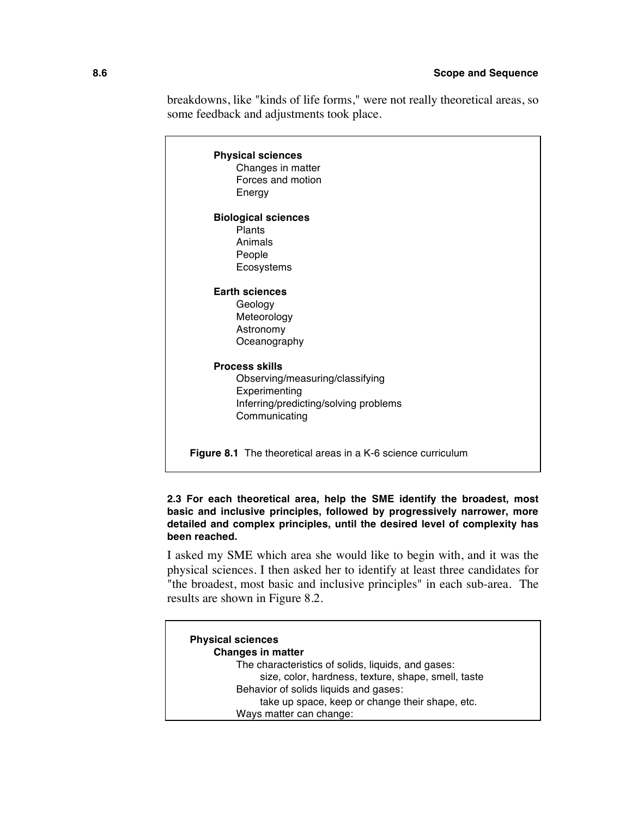breakdowns, like "kinds of life forms," were not really theoretical areas, so some feedback and adjustments took place.

| <b>Physical sciences</b><br>Changes in matter<br>Forces and motion<br>Energy |  |
|------------------------------------------------------------------------------|--|
| <b>Biological sciences</b><br><b>Plants</b><br>Animals<br>People             |  |
| Ecosystems<br><b>Earth sciences</b><br>Geology<br>Meteorology<br>Astronomy   |  |
| Oceanography<br><b>Process skills</b><br>Observing/measuring/classifying     |  |
| Experimenting<br>Inferring/predicting/solving problems<br>Communicating      |  |
| <b>Figure 8.1</b> The theoretical areas in a K-6 science curriculum          |  |

### **2.3 For each theoretical area, help the SME identify the broadest, most basic and inclusive principles, followed by progressively narrower, more detailed and complex principles, until the desired level of complexity has been reached.**

I asked my SME which area she would like to begin with, and it was the physical sciences. I then asked her to identify at least three candidates for "the broadest, most basic and inclusive principles" in each sub-area. The results are shown in Figure 8.2.

| <b>Physical sciences</b>                            |
|-----------------------------------------------------|
| <b>Changes in matter</b>                            |
| The characteristics of solids, liquids, and gases:  |
| size, color, hardness, texture, shape, smell, taste |
| Behavior of solids liquids and gases:               |
| take up space, keep or change their shape, etc.     |
| Ways matter can change:                             |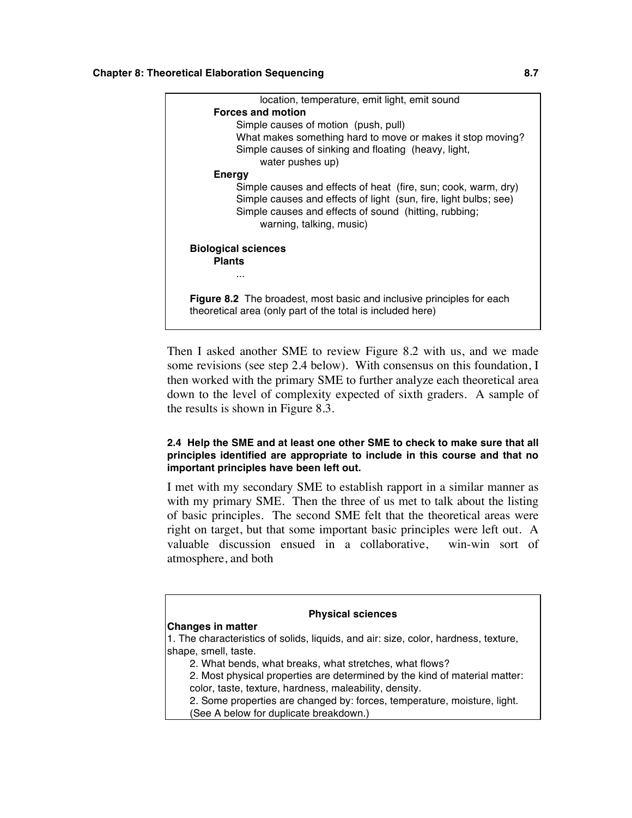

Then I asked another SME to review Figure 8.2 with us, and we made some revisions (see step 2.4 below). With consensus on this foundation, I then worked with the primary SME to further analyze each theoretical area down to the level of complexity expected of sixth graders. A sample of the results is shown in Figure 8.3.

## **2.4 Help the SME and at least one other SME to check to make sure that all principles identified are appropriate to include in this course and that no important principles have been left out.**

I met with my secondary SME to establish rapport in a similar manner as with my primary SME. Then the three of us met to talk about the listing of basic principles. The second SME felt that the theoretical areas were right on target, but that some important basic principles were left out. A valuable discussion ensued in a collaborative, win-win sort of atmosphere, and both

#### **Physical sciences**

#### **Changes in matter**

1. The characteristics of solids, liquids, and air: size, color, hardness, texture, shape, smell, taste.

2. What bends, what breaks, what stretches, what flows?

2. Most physical properties are determined by the kind of material matter: color, taste, texture, hardness, maleability, density.

2. Some properties are changed by: forces, temperature, moisture, light. (See A below for duplicate breakdown.)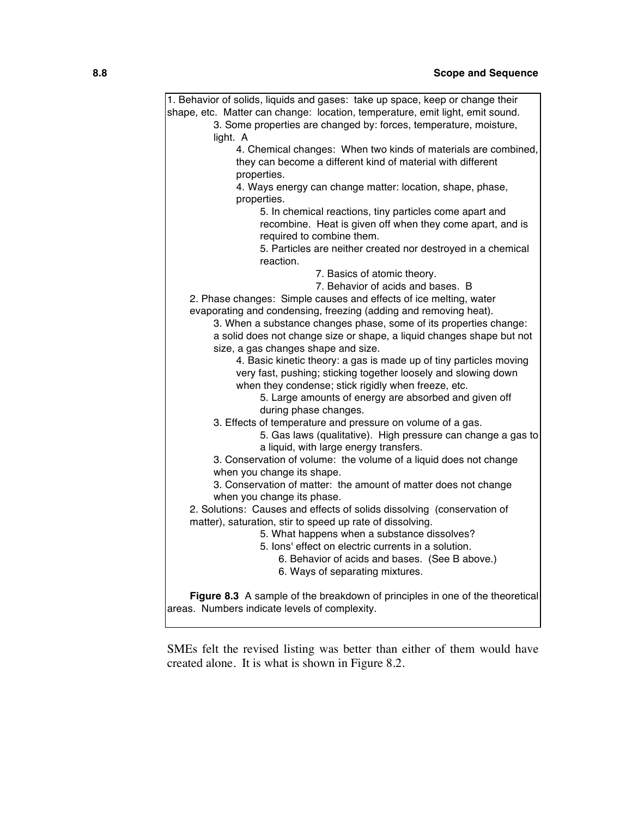| 1. Behavior of solids, liquids and gases: take up space, keep or change their |
|-------------------------------------------------------------------------------|
| shape, etc. Matter can change: location, temperature, emit light, emit sound. |
| 3. Some properties are changed by: forces, temperature, moisture,             |
| light. A                                                                      |
| 4. Chemical changes: When two kinds of materials are combined,                |
| they can become a different kind of material with different                   |
| properties.                                                                   |
| 4. Ways energy can change matter: location, shape, phase,                     |
| properties.                                                                   |
| 5. In chemical reactions, tiny particles come apart and                       |
| recombine. Heat is given off when they come apart, and is                     |
| required to combine them.                                                     |
| 5. Particles are neither created nor destroyed in a chemical                  |
| reaction.                                                                     |
| 7. Basics of atomic theory.                                                   |
| 7. Behavior of acids and bases. B                                             |
| 2. Phase changes: Simple causes and effects of ice melting, water             |
| evaporating and condensing, freezing (adding and removing heat).              |
| 3. When a substance changes phase, some of its properties change:             |
| a solid does not change size or shape, a liquid changes shape but not         |
| size, a gas changes shape and size.                                           |
| 4. Basic kinetic theory: a gas is made up of tiny particles moving            |
| very fast, pushing; sticking together loosely and slowing down                |
| when they condense; stick rigidly when freeze, etc.                           |
| 5. Large amounts of energy are absorbed and given off                         |
| during phase changes.                                                         |
| 3. Effects of temperature and pressure on volume of a gas.                    |
| 5. Gas laws (qualitative). High pressure can change a gas to                  |
| a liquid, with large energy transfers.                                        |
| 3. Conservation of volume: the volume of a liquid does not change             |
| when you change its shape.                                                    |
| 3. Conservation of matter: the amount of matter does not change               |
| when you change its phase.                                                    |
| 2. Solutions: Causes and effects of solids dissolving (conservation of        |
| matter), saturation, stir to speed up rate of dissolving.                     |
| 5. What happens when a substance dissolves?                                   |
| 5. Ions' effect on electric currents in a solution.                           |
| 6. Behavior of acids and bases. (See B above.)                                |
| 6. Ways of separating mixtures.                                               |
|                                                                               |
| Figure 8.3 A sample of the breakdown of principles in one of the theoretical  |
| areas. Numbers indicate levels of complexity.                                 |

SMEs felt the revised listing was better than either of them would have created alone. It is what is shown in Figure 8.2.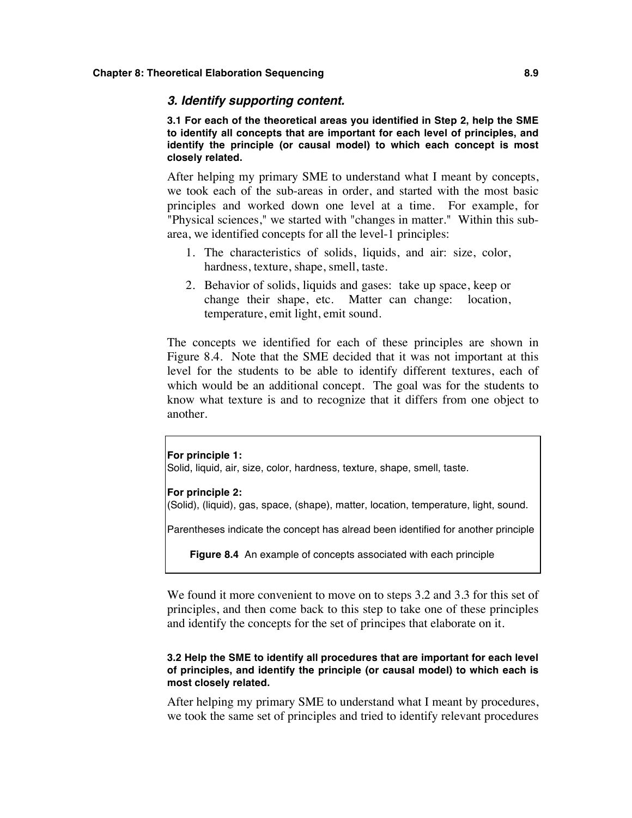### *3. Identify supporting content.*

**3.1 For each of the theoretical areas you identified in Step 2, help the SME to identify all concepts that are important for each level of principles, and identify the principle (or causal model) to which each concept is most closely related.** 

After helping my primary SME to understand what I meant by concepts, we took each of the sub-areas in order, and started with the most basic principles and worked down one level at a time. For example, for "Physical sciences," we started with "changes in matter." Within this subarea, we identified concepts for all the level-1 principles:

- 1. The characteristics of solids, liquids, and air: size, color, hardness, texture, shape, smell, taste.
- 2. Behavior of solids, liquids and gases: take up space, keep or change their shape, etc. Matter can change: location, temperature, emit light, emit sound.

The concepts we identified for each of these principles are shown in Figure 8.4. Note that the SME decided that it was not important at this level for the students to be able to identify different textures, each of which would be an additional concept. The goal was for the students to know what texture is and to recognize that it differs from one object to another.

#### **For principle 1:**

Solid, liquid, air, size, color, hardness, texture, shape, smell, taste.

#### **For principle 2:**

(Solid), (liquid), gas, space, (shape), matter, location, temperature, light, sound.

Parentheses indicate the concept has alread been identified for another principle

**Figure 8.4** An example of concepts associated with each principle

We found it more convenient to move on to steps 3.2 and 3.3 for this set of principles, and then come back to this step to take one of these principles and identify the concepts for the set of principes that elaborate on it.

### **3.2 Help the SME to identify all procedures that are important for each level of principles, and identify the principle (or causal model) to which each is most closely related.**

After helping my primary SME to understand what I meant by procedures, we took the same set of principles and tried to identify relevant procedures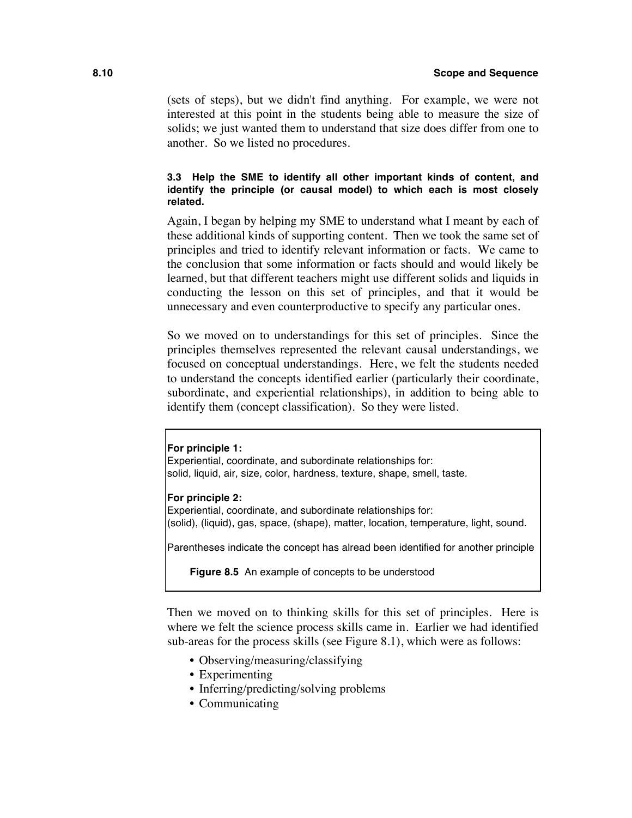(sets of steps), but we didn't find anything. For example, we were not interested at this point in the students being able to measure the size of solids; we just wanted them to understand that size does differ from one to another. So we listed no procedures.

### **3.3 Help the SME to identify all other important kinds of content, and identify the principle (or causal model) to which each is most closely related.**

Again, I began by helping my SME to understand what I meant by each of these additional kinds of supporting content. Then we took the same set of principles and tried to identify relevant information or facts. We came to the conclusion that some information or facts should and would likely be learned, but that different teachers might use different solids and liquids in conducting the lesson on this set of principles, and that it would be unnecessary and even counterproductive to specify any particular ones.

So we moved on to understandings for this set of principles. Since the principles themselves represented the relevant causal understandings, we focused on conceptual understandings. Here, we felt the students needed to understand the concepts identified earlier (particularly their coordinate, subordinate, and experiential relationships), in addition to being able to identify them (concept classification). So they were listed.

#### **For principle 1:**

Experiential, coordinate, and subordinate relationships for: solid, liquid, air, size, color, hardness, texture, shape, smell, taste.

#### **For principle 2:**

Experiential, coordinate, and subordinate relationships for: (solid), (liquid), gas, space, (shape), matter, location, temperature, light, sound.

Parentheses indicate the concept has alread been identified for another principle

**Figure 8.5** An example of concepts to be understood

Then we moved on to thinking skills for this set of principles. Here is where we felt the science process skills came in. Earlier we had identified sub-areas for the process skills (see Figure 8.1), which were as follows:

- Observing/measuring/classifying
- Experimenting
- Inferring/predicting/solving problems
- Communicating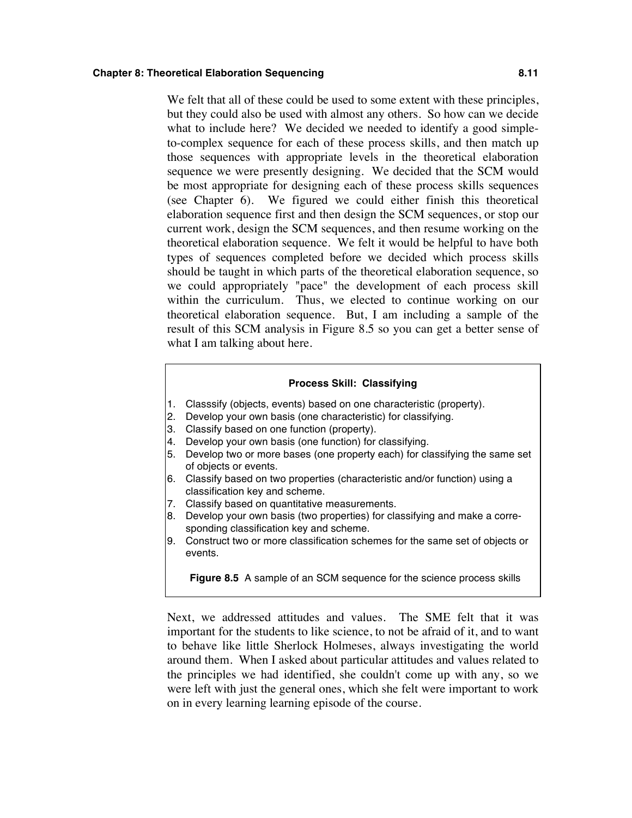#### **Chapter 8: Theoretical Elaboration Sequencing 8.11**

We felt that all of these could be used to some extent with these principles, but they could also be used with almost any others. So how can we decide what to include here? We decided we needed to identify a good simpleto-complex sequence for each of these process skills, and then match up those sequences with appropriate levels in the theoretical elaboration sequence we were presently designing. We decided that the SCM would be most appropriate for designing each of these process skills sequences (see Chapter 6). We figured we could either finish this theoretical elaboration sequence first and then design the SCM sequences, or stop our current work, design the SCM sequences, and then resume working on the theoretical elaboration sequence. We felt it would be helpful to have both types of sequences completed before we decided which process skills should be taught in which parts of the theoretical elaboration sequence, so we could appropriately "pace" the development of each process skill within the curriculum. Thus, we elected to continue working on our theoretical elaboration sequence. But, I am including a sample of the result of this SCM analysis in Figure 8.5 so you can get a better sense of what I am talking about here.

#### **Process Skill: Classifying**

- 1. Classsify (objects, events) based on one characteristic (property).
- 2. Develop your own basis (one characteristic) for classifying.
- 3. Classify based on one function (property).
- 4. Develop your own basis (one function) for classifying.
- 5. Develop two or more bases (one property each) for classifying the same set of objects or events.
- 6. Classify based on two properties (characteristic and/or function) using a classification key and scheme.
- 7. Classify based on quantitative measurements.
- 8. Develop your own basis (two properties) for classifying and make a corresponding classification key and scheme.
- 9. Construct two or more classification schemes for the same set of objects or events.

**Figure 8.5** A sample of an SCM sequence for the science process skills

Next, we addressed attitudes and values. The SME felt that it was important for the students to like science, to not be afraid of it, and to want to behave like little Sherlock Holmeses, always investigating the world around them. When I asked about particular attitudes and values related to the principles we had identified, she couldn't come up with any, so we were left with just the general ones, which she felt were important to work on in every learning learning episode of the course.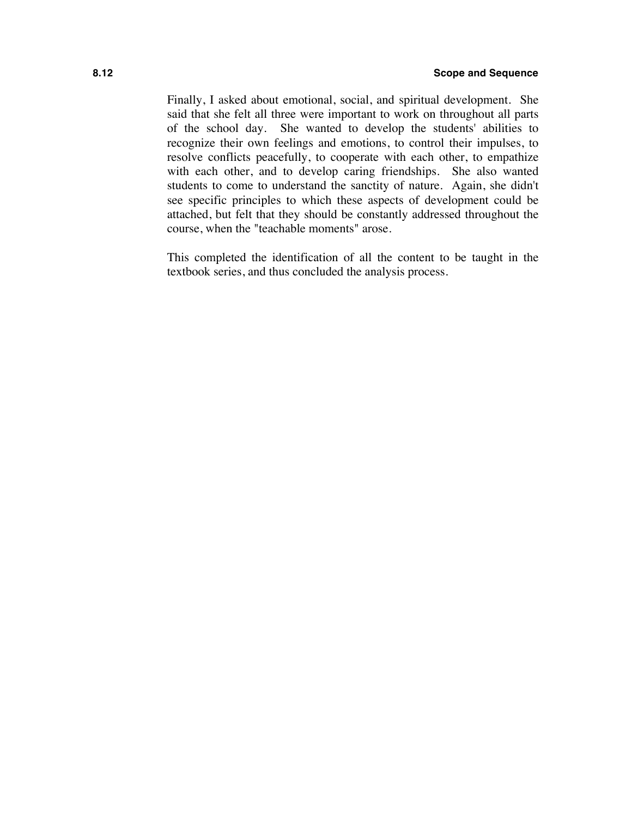Finally, I asked about emotional, social, and spiritual development. She said that she felt all three were important to work on throughout all parts of the school day. She wanted to develop the students' abilities to recognize their own feelings and emotions, to control their impulses, to resolve conflicts peacefully, to cooperate with each other, to empathize with each other, and to develop caring friendships. She also wanted students to come to understand the sanctity of nature. Again, she didn't see specific principles to which these aspects of development could be attached, but felt that they should be constantly addressed throughout the course, when the "teachable moments" arose.

This completed the identification of all the content to be taught in the textbook series, and thus concluded the analysis process.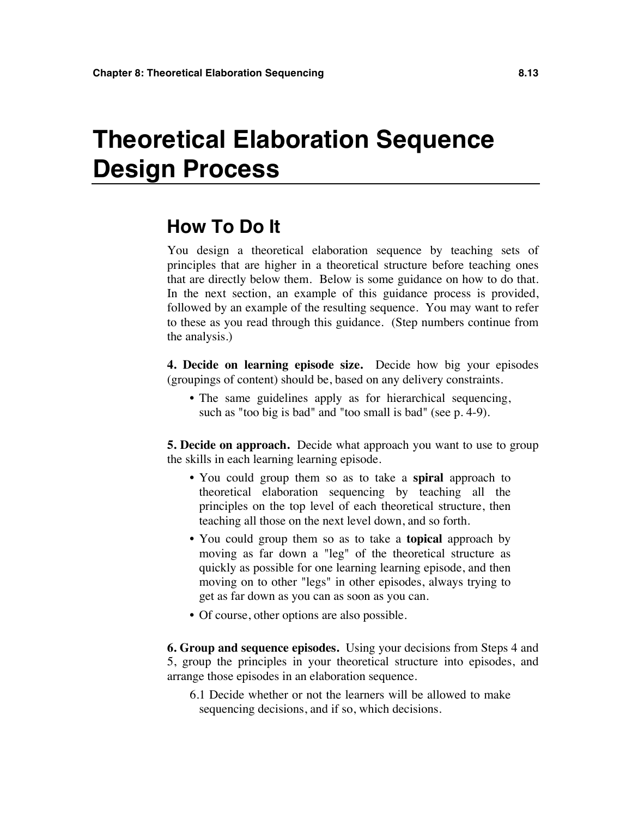# **Theoretical Elaboration Sequence Design Process**

# **How To Do It**

You design a theoretical elaboration sequence by teaching sets of principles that are higher in a theoretical structure before teaching ones that are directly below them. Below is some guidance on how to do that. In the next section, an example of this guidance process is provided, followed by an example of the resulting sequence. You may want to refer to these as you read through this guidance. (Step numbers continue from the analysis.)

**4. Decide on learning episode size.** Decide how big your episodes (groupings of content) should be, based on any delivery constraints.

• The same guidelines apply as for hierarchical sequencing, such as "too big is bad" and "too small is bad" (see p. 4-9).

**5. Decide on approach.** Decide what approach you want to use to group the skills in each learning learning episode.

- You could group them so as to take a **spiral** approach to theoretical elaboration sequencing by teaching all the principles on the top level of each theoretical structure, then teaching all those on the next level down, and so forth.
- You could group them so as to take a **topical** approach by moving as far down a "leg" of the theoretical structure as quickly as possible for one learning learning episode, and then moving on to other "legs" in other episodes, always trying to get as far down as you can as soon as you can.
- Of course, other options are also possible.

**6. Group and sequence episodes.** Using your decisions from Steps 4 and 5, group the principles in your theoretical structure into episodes, and arrange those episodes in an elaboration sequence.

6.1 Decide whether or not the learners will be allowed to make sequencing decisions, and if so, which decisions.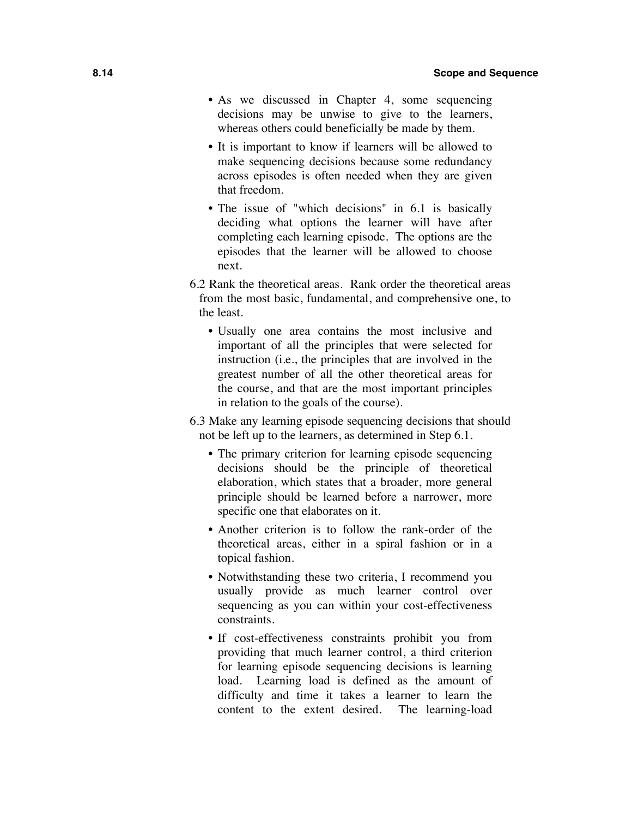- As we discussed in Chapter 4, some sequencing decisions may be unwise to give to the learners, whereas others could beneficially be made by them.
- It is important to know if learners will be allowed to make sequencing decisions because some redundancy across episodes is often needed when they are given that freedom.
- The issue of "which decisions" in 6.1 is basically deciding what options the learner will have after completing each learning episode. The options are the episodes that the learner will be allowed to choose next.
- 6.2 Rank the theoretical areas. Rank order the theoretical areas from the most basic, fundamental, and comprehensive one, to the least.
	- Usually one area contains the most inclusive and important of all the principles that were selected for instruction (i.e., the principles that are involved in the greatest number of all the other theoretical areas for the course, and that are the most important principles in relation to the goals of the course).
- 6.3 Make any learning episode sequencing decisions that should not be left up to the learners, as determined in Step 6.1.
	- The primary criterion for learning episode sequencing decisions should be the principle of theoretical elaboration, which states that a broader, more general principle should be learned before a narrower, more specific one that elaborates on it.
	- Another criterion is to follow the rank-order of the theoretical areas, either in a spiral fashion or in a topical fashion.
	- Notwithstanding these two criteria, I recommend you usually provide as much learner control over sequencing as you can within your cost-effectiveness constraints.
	- If cost-effectiveness constraints prohibit you from providing that much learner control, a third criterion for learning episode sequencing decisions is learning load. Learning load is defined as the amount of difficulty and time it takes a learner to learn the content to the extent desired. The learning-load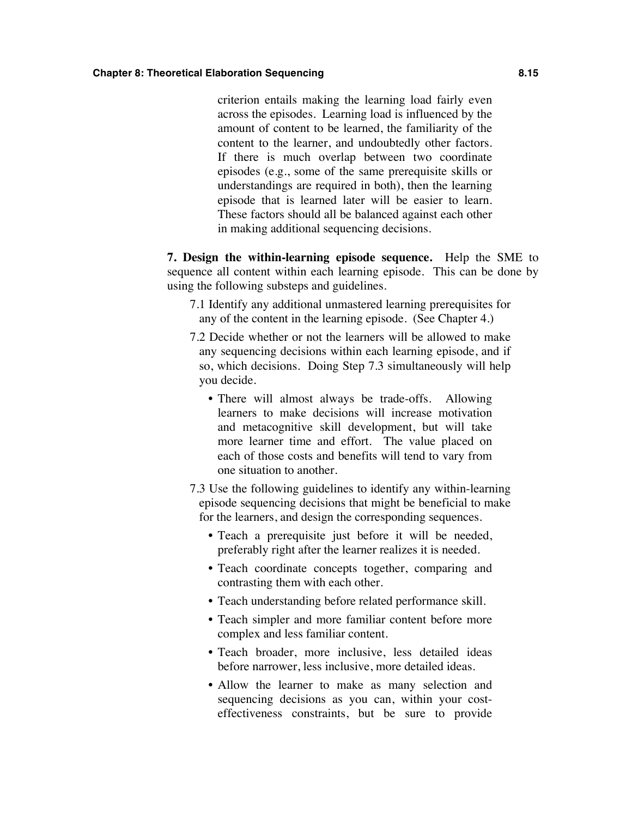criterion entails making the learning load fairly even across the episodes. Learning load is influenced by the amount of content to be learned, the familiarity of the content to the learner, and undoubtedly other factors. If there is much overlap between two coordinate episodes (e.g., some of the same prerequisite skills or understandings are required in both), then the learning episode that is learned later will be easier to learn. These factors should all be balanced against each other in making additional sequencing decisions.

**7. Design the within-learning episode sequence.** Help the SME to sequence all content within each learning episode. This can be done by using the following substeps and guidelines.

- 7.1 Identify any additional unmastered learning prerequisites for any of the content in the learning episode. (See Chapter 4.)
- 7.2 Decide whether or not the learners will be allowed to make any sequencing decisions within each learning episode, and if so, which decisions. Doing Step 7.3 simultaneously will help you decide.
	- There will almost always be trade-offs. Allowing learners to make decisions will increase motivation and metacognitive skill development, but will take more learner time and effort. The value placed on each of those costs and benefits will tend to vary from one situation to another.
- 7.3 Use the following guidelines to identify any within-learning episode sequencing decisions that might be beneficial to make for the learners, and design the corresponding sequences.
	- Teach a prerequisite just before it will be needed, preferably right after the learner realizes it is needed.
	- Teach coordinate concepts together, comparing and contrasting them with each other.
	- Teach understanding before related performance skill.
	- Teach simpler and more familiar content before more complex and less familiar content.
	- Teach broader, more inclusive, less detailed ideas before narrower, less inclusive, more detailed ideas.
	- Allow the learner to make as many selection and sequencing decisions as you can, within your costeffectiveness constraints, but be sure to provide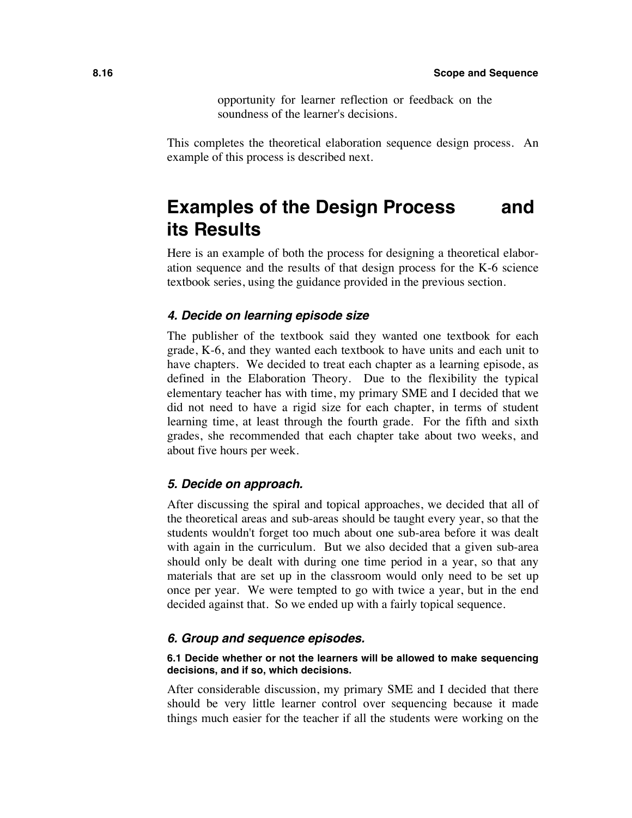opportunity for learner reflection or feedback on the soundness of the learner's decisions.

This completes the theoretical elaboration sequence design process. An example of this process is described next.

# **Examples of the Design Process and its Results**

Here is an example of both the process for designing a theoretical elaboration sequence and the results of that design process for the K-6 science textbook series, using the guidance provided in the previous section.

## *4. Decide on learning episode size*

The publisher of the textbook said they wanted one textbook for each grade, K-6, and they wanted each textbook to have units and each unit to have chapters. We decided to treat each chapter as a learning episode, as defined in the Elaboration Theory. Due to the flexibility the typical elementary teacher has with time, my primary SME and I decided that we did not need to have a rigid size for each chapter, in terms of student learning time, at least through the fourth grade. For the fifth and sixth grades, she recommended that each chapter take about two weeks, and about five hours per week.

## *5. Decide on approach.*

After discussing the spiral and topical approaches, we decided that all of the theoretical areas and sub-areas should be taught every year, so that the students wouldn't forget too much about one sub-area before it was dealt with again in the curriculum. But we also decided that a given sub-area should only be dealt with during one time period in a year, so that any materials that are set up in the classroom would only need to be set up once per year. We were tempted to go with twice a year, but in the end decided against that. So we ended up with a fairly topical sequence.

### *6. Group and sequence episodes.*

### **6.1 Decide whether or not the learners will be allowed to make sequencing decisions, and if so, which decisions.**

After considerable discussion, my primary SME and I decided that there should be very little learner control over sequencing because it made things much easier for the teacher if all the students were working on the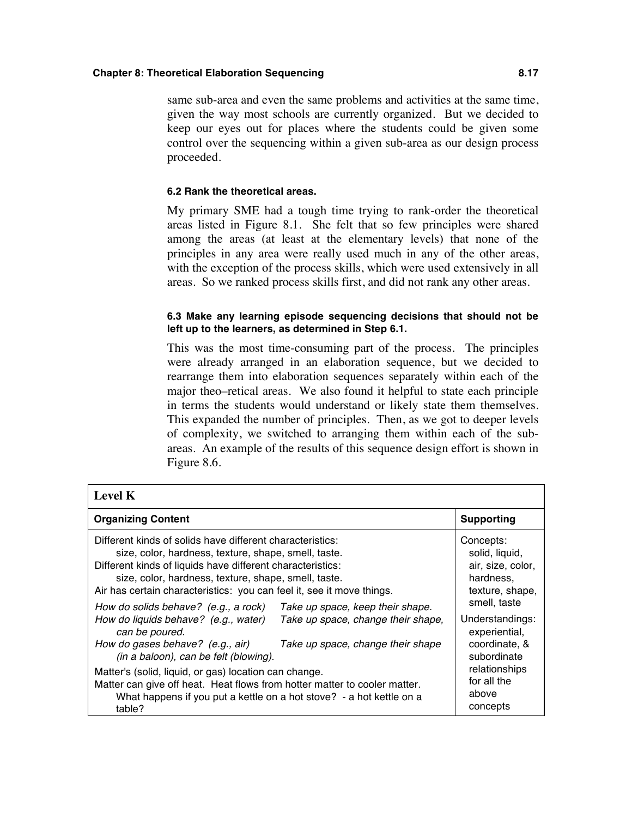#### **Chapter 8: Theoretical Elaboration Sequencing 8.17**

same sub-area and even the same problems and activities at the same time, given the way most schools are currently organized. But we decided to keep our eyes out for places where the students could be given some control over the sequencing within a given sub-area as our design process proceeded.

### **6.2 Rank the theoretical areas.**

My primary SME had a tough time trying to rank-order the theoretical areas listed in Figure 8.1. She felt that so few principles were shared among the areas (at least at the elementary levels) that none of the principles in any area were really used much in any of the other areas, with the exception of the process skills, which were used extensively in all areas. So we ranked process skills first, and did not rank any other areas.

## **6.3 Make any learning episode sequencing decisions that should not be left up to the learners, as determined in Step 6.1.**

This was the most time-consuming part of the process. The principles were already arranged in an elaboration sequence, but we decided to rearrange them into elaboration sequences separately within each of the major theo–retical areas. We also found it helpful to state each principle in terms the students would understand or likely state them themselves. This expanded the number of principles. Then, as we got to deeper levels of complexity, we switched to arranging them within each of the subareas. An example of the results of this sequence design effort is shown in Figure 8.6.

| <b>Level K</b>                                                                                                                                                                                                                                                                                                   |                                                                                                             |                                                                                  |
|------------------------------------------------------------------------------------------------------------------------------------------------------------------------------------------------------------------------------------------------------------------------------------------------------------------|-------------------------------------------------------------------------------------------------------------|----------------------------------------------------------------------------------|
| <b>Organizing Content</b>                                                                                                                                                                                                                                                                                        |                                                                                                             | <b>Supporting</b>                                                                |
| Different kinds of solids have different characteristics:<br>size, color, hardness, texture, shape, smell, taste.<br>Different kinds of liquids have different characteristics:<br>size, color, hardness, texture, shape, smell, taste.<br>Air has certain characteristics: you can feel it, see it move things. |                                                                                                             | Concepts:<br>solid, liquid,<br>air, size, color,<br>hardness,<br>texture, shape, |
| How do solids behave? (e.g., a rock)<br>How do liquids behave? (e.g., water)<br>can be poured.<br>How do gases behave? (e.g., air)<br>(in a baloon), can be felt (blowing).                                                                                                                                      | Take up space, keep their shape.<br>Take up space, change their shape,<br>Take up space, change their shape | smell, taste<br>Understandings:<br>experiential,<br>coordinate, &<br>subordinate |
| Matter's (solid, liquid, or gas) location can change.<br>Matter can give off heat. Heat flows from hotter matter to cooler matter.<br>What happens if you put a kettle on a hot stove? - a hot kettle on a<br>table?                                                                                             |                                                                                                             | relationships<br>for all the<br>above<br>concepts                                |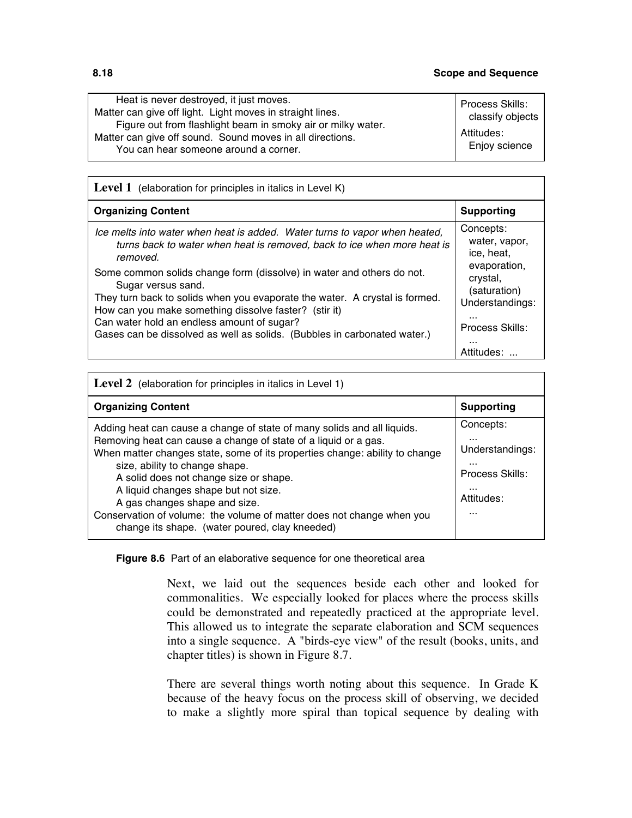| Heat is never destroyed, it just moves.<br>Matter can give off light. Light moves in straight lines.<br>Figure out from flashlight beam in smoky air or milky water. | Process Skills:<br>classify objects |
|----------------------------------------------------------------------------------------------------------------------------------------------------------------------|-------------------------------------|
| Matter can give off sound. Sound moves in all directions.<br>You can hear someone around a corner.                                                                   | Attitudes:<br>Enjoy science         |

| Level 1 (elaboration for principles in italics in Level K)                                                                                                                                                                                                                                                                                                    |                                                                                                      |  |
|---------------------------------------------------------------------------------------------------------------------------------------------------------------------------------------------------------------------------------------------------------------------------------------------------------------------------------------------------------------|------------------------------------------------------------------------------------------------------|--|
| <b>Organizing Content</b>                                                                                                                                                                                                                                                                                                                                     | <b>Supporting</b>                                                                                    |  |
| lce melts into water when heat is added. Water turns to vapor when heated.<br>turns back to water when heat is removed, back to ice when more heat is<br>removed.                                                                                                                                                                                             | Concepts:<br>water, vapor,<br>ice, heat,                                                             |  |
| Some common solids change form (dissolve) in water and others do not.<br>Sugar versus sand.<br>They turn back to solids when you evaporate the water. A crystal is formed.<br>How can you make something dissolve faster? (stir it)<br>Can water hold an endless amount of sugar?<br>Gases can be dissolved as well as solids. (Bubbles in carbonated water.) | evaporation,<br>crystal.<br>(saturation)<br>Understandings:<br><br>Process Skills:<br><br>Attitudes: |  |

| <b>Level 2</b> (elaboration for principles in italics in Level 1)                                                                                                                                                                                                                                                                                                                                                                                                                                         |                                                                           |
|-----------------------------------------------------------------------------------------------------------------------------------------------------------------------------------------------------------------------------------------------------------------------------------------------------------------------------------------------------------------------------------------------------------------------------------------------------------------------------------------------------------|---------------------------------------------------------------------------|
| <b>Organizing Content</b>                                                                                                                                                                                                                                                                                                                                                                                                                                                                                 | <b>Supporting</b>                                                         |
| Adding heat can cause a change of state of many solids and all liquids.<br>Removing heat can cause a change of state of a liquid or a gas.<br>When matter changes state, some of its properties change: ability to change<br>size, ability to change shape.<br>A solid does not change size or shape.<br>A liquid changes shape but not size.<br>A gas changes shape and size.<br>Conservation of volume: the volume of matter does not change when you<br>change its shape. (water poured, clay kneeded) | Concepts:<br><br>Understandings:<br><br>Process Skills:<br>Attitudes:<br> |

**Figure 8.6** Part of an elaborative sequence for one theoretical area

Next, we laid out the sequences beside each other and looked for commonalities. We especially looked for places where the process skills could be demonstrated and repeatedly practiced at the appropriate level. This allowed us to integrate the separate elaboration and SCM sequences into a single sequence. A "birds-eye view" of the result (books, units, and chapter titles) is shown in Figure 8.7.

There are several things worth noting about this sequence. In Grade K because of the heavy focus on the process skill of observing, we decided to make a slightly more spiral than topical sequence by dealing with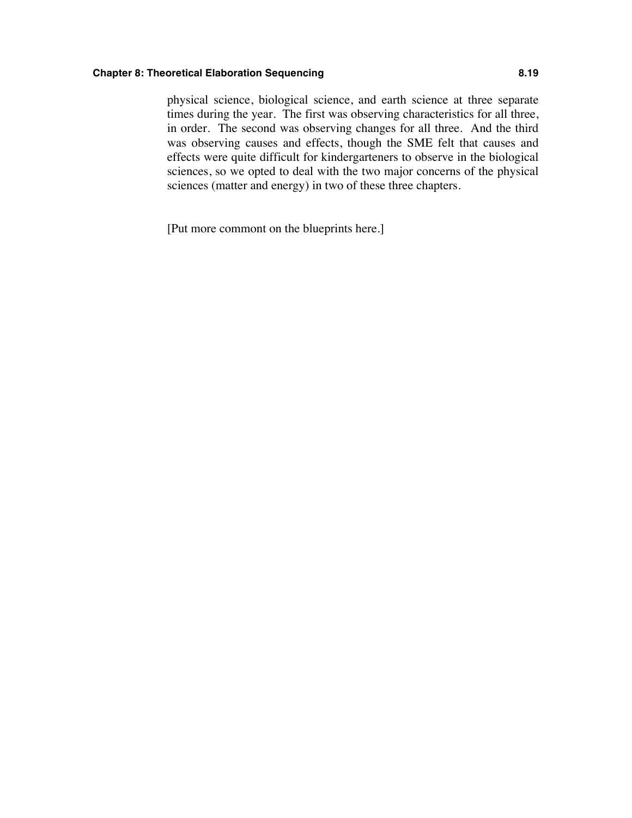#### **Chapter 8: Theoretical Elaboration Sequencing 8.19**

physical science, biological science, and earth science at three separate times during the year. The first was observing characteristics for all three, in order. The second was observing changes for all three. And the third was observing causes and effects, though the SME felt that causes and effects were quite difficult for kindergarteners to observe in the biological sciences, so we opted to deal with the two major concerns of the physical sciences (matter and energy) in two of these three chapters.

[Put more commont on the blueprints here.]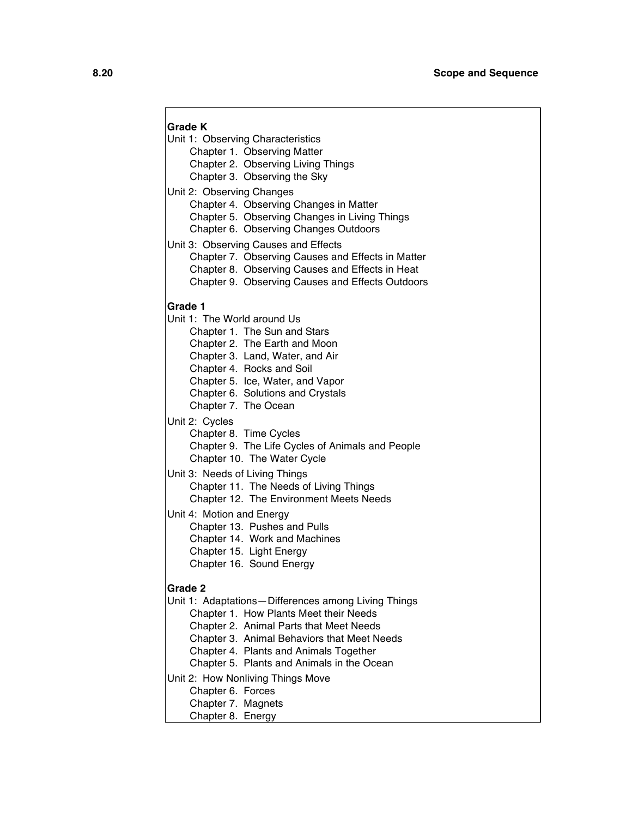#### **Grade K**

Unit 1: Observing Characteristics

Chapter 1. Observing Matter

Chapter 2. Observing Living Things

Chapter 3. Observing the Sky

Unit 2: Observing Changes

Chapter 4. Observing Changes in Matter

Chapter 5. Observing Changes in Living Things

Chapter 6. Observing Changes Outdoors

Unit 3: Observing Causes and Effects

Chapter 7. Observing Causes and Effects in Matter

Chapter 8. Observing Causes and Effects in Heat

Chapter 9. Observing Causes and Effects Outdoors

#### **Grade 1**

Unit 1: The World around Us

Chapter 1. The Sun and Stars

Chapter 2. The Earth and Moon

Chapter 3. Land, Water, and Air

Chapter 4. Rocks and Soil

Chapter 5. Ice, Water, and Vapor

Chapter 6. Solutions and Crystals

Chapter 7. The Ocean

Unit 2: Cycles

Chapter 8. Time Cycles

Chapter 9. The Life Cycles of Animals and People

Chapter 10. The Water Cycle

Unit 3: Needs of Living Things

Chapter 11. The Needs of Living Things

Chapter 12. The Environment Meets Needs

Unit 4: Motion and Energy

Chapter 13. Pushes and Pulls

Chapter 14. Work and Machines

Chapter 15. Light Energy

Chapter 16. Sound Energy

#### **Grade 2**

Unit 1: Adaptations—Differences among Living Things

Chapter 1. How Plants Meet their Needs

Chapter 2. Animal Parts that Meet Needs

Chapter 3. Animal Behaviors that Meet Needs

Chapter 4. Plants and Animals Together

Chapter 5. Plants and Animals in the Ocean

Unit 2: How Nonliving Things Move

Chapter 6. Forces

Chapter 7. Magnets

Chapter 8. Energy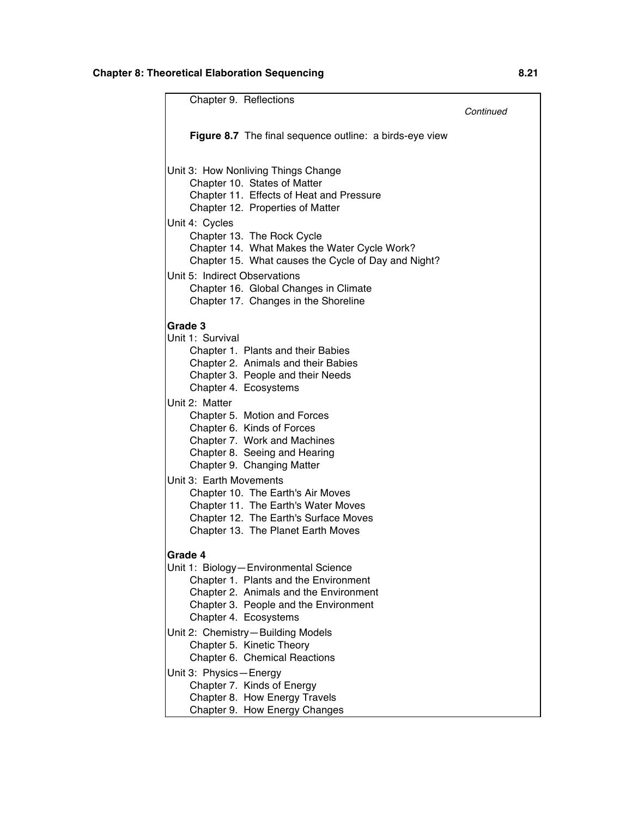| Chapter 9. Reflections                                                                              |           |
|-----------------------------------------------------------------------------------------------------|-----------|
|                                                                                                     | Continued |
| Figure 8.7 The final sequence outline: a birds-eye view                                             |           |
|                                                                                                     |           |
| Unit 3: How Nonliving Things Change<br>Chapter 10. States of Matter                                 |           |
| Chapter 11. Effects of Heat and Pressure                                                            |           |
| Chapter 12. Properties of Matter                                                                    |           |
| Unit 4: Cycles                                                                                      |           |
| Chapter 13. The Rock Cycle                                                                          |           |
| Chapter 14. What Makes the Water Cycle Work?<br>Chapter 15. What causes the Cycle of Day and Night? |           |
| Unit 5: Indirect Observations                                                                       |           |
| Chapter 16. Global Changes in Climate                                                               |           |
| Chapter 17. Changes in the Shoreline                                                                |           |
| Grade 3                                                                                             |           |
| Unit 1: Survival                                                                                    |           |
| Chapter 1. Plants and their Babies                                                                  |           |
| Chapter 2. Animals and their Babies<br>Chapter 3. People and their Needs                            |           |
| Chapter 4. Ecosystems                                                                               |           |
| Unit 2: Matter                                                                                      |           |
| Chapter 5. Motion and Forces                                                                        |           |
| Chapter 6. Kinds of Forces                                                                          |           |
| Chapter 7. Work and Machines<br>Chapter 8. Seeing and Hearing                                       |           |
| Chapter 9. Changing Matter                                                                          |           |
| Unit 3: Earth Movements                                                                             |           |
| Chapter 10. The Earth's Air Moves                                                                   |           |
| Chapter 11. The Earth's Water Moves                                                                 |           |
| Chapter 12. The Earth's Surface Moves<br>Chapter 13. The Planet Earth Moves                         |           |
|                                                                                                     |           |
| Grade 4                                                                                             |           |
| Unit 1: Biology-Environmental Science<br>Chapter 1. Plants and the Environment                      |           |
| Chapter 2. Animals and the Environment                                                              |           |
| Chapter 3. People and the Environment                                                               |           |
| Chapter 4. Ecosystems                                                                               |           |
| Unit 2: Chemistry-Building Models<br>Chapter 5. Kinetic Theory                                      |           |
| Chapter 6. Chemical Reactions                                                                       |           |
| Unit 3: Physics-Energy                                                                              |           |
| Chapter 7. Kinds of Energy                                                                          |           |
| Chapter 8. How Energy Travels                                                                       |           |
| Chapter 9. How Energy Changes                                                                       |           |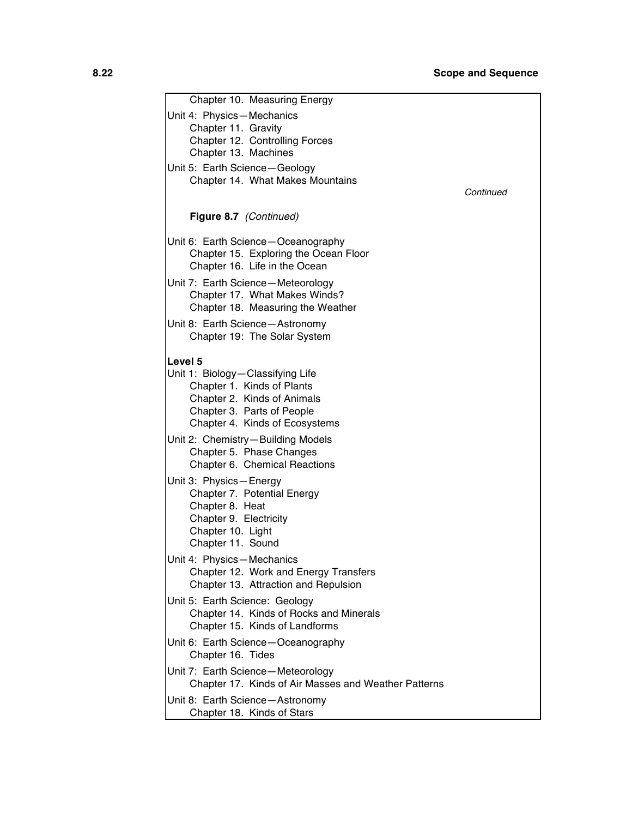| Chapter 10. Measuring Energy                                   |           |
|----------------------------------------------------------------|-----------|
| Unit 4: Physics-Mechanics                                      |           |
| Chapter 11. Gravity                                            |           |
| Chapter 12. Controlling Forces                                 |           |
| Chapter 13. Machines                                           |           |
| Unit 5: Earth Science-Geology                                  |           |
| Chapter 14. What Makes Mountains                               |           |
|                                                                | Continued |
|                                                                |           |
| Figure 8.7 (Continued)                                         |           |
|                                                                |           |
| Unit 6: Earth Science-Oceanography                             |           |
| Chapter 15. Exploring the Ocean Floor                          |           |
| Chapter 16. Life in the Ocean                                  |           |
| Unit 7: Earth Science-Meteorology                              |           |
| Chapter 17. What Makes Winds?                                  |           |
| Chapter 18. Measuring the Weather                              |           |
| Unit 8: Earth Science-Astronomy                                |           |
| Chapter 19: The Solar System                                   |           |
|                                                                |           |
| Level 5                                                        |           |
| Unit 1: Biology-Classifying Life<br>Chapter 1. Kinds of Plants |           |
| Chapter 2. Kinds of Animals                                    |           |
| Chapter 3. Parts of People                                     |           |
| Chapter 4. Kinds of Ecosystems                                 |           |
| Unit 2: Chemistry-Building Models                              |           |
| Chapter 5. Phase Changes                                       |           |
| Chapter 6. Chemical Reactions                                  |           |
| Unit 3: Physics-Energy                                         |           |
| Chapter 7. Potential Energy                                    |           |
| Chapter 8. Heat                                                |           |
| Chapter 9. Electricity                                         |           |
| Chapter 10. Light                                              |           |
| Chapter 11. Sound                                              |           |
| Unit 4: Physics-Mechanics                                      |           |
| Chapter 12. Work and Energy Transfers                          |           |
| Chapter 13. Attraction and Repulsion                           |           |
| Unit 5: Earth Science: Geology                                 |           |
| Chapter 14. Kinds of Rocks and Minerals                        |           |
| Chapter 15. Kinds of Landforms                                 |           |
| Unit 6: Earth Science-Oceanography                             |           |
| Chapter 16. Tides                                              |           |
| Unit 7: Earth Science-Meteorology                              |           |
| Chapter 17. Kinds of Air Masses and Weather Patterns           |           |
|                                                                |           |
| Unit 8: Earth Science-Astronomy                                |           |
| Chapter 18. Kinds of Stars                                     |           |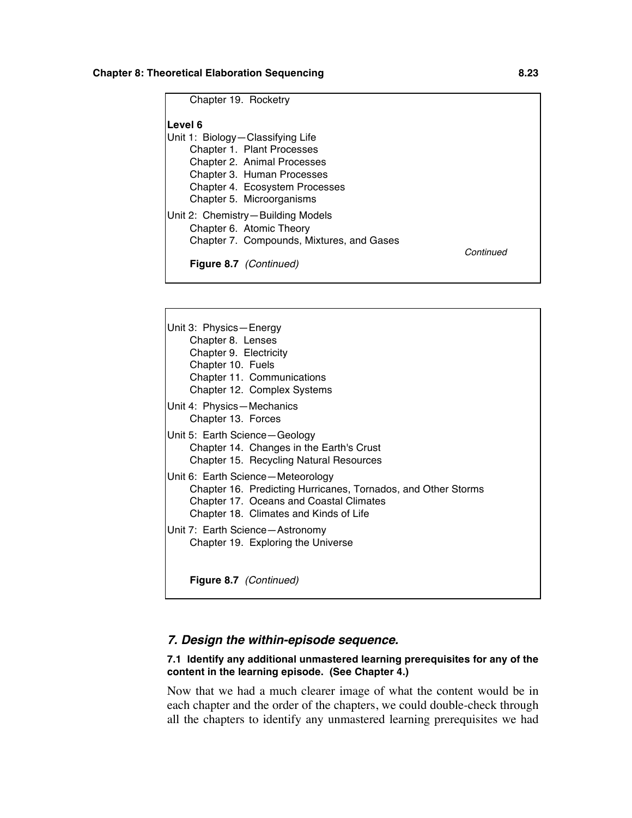| Chapter 19. Rocketry                      |           |
|-------------------------------------------|-----------|
| Level 6                                   |           |
| Unit 1: Biology - Classifying Life        |           |
| Chapter 1. Plant Processes                |           |
| Chapter 2. Animal Processes               |           |
| Chapter 3. Human Processes                |           |
| Chapter 4. Ecosystem Processes            |           |
| Chapter 5. Microorganisms                 |           |
| Unit 2: Chemistry—Building Models         |           |
| Chapter 6. Atomic Theory                  |           |
| Chapter 7. Compounds, Mixtures, and Gases |           |
|                                           | Continued |
| <b>Figure 8.7</b> (Continued)             |           |

Unit 3: Physics—Energy Chapter 8. Lenses Chapter 9. Electricity Chapter 10. Fuels Chapter 11. Communications Chapter 12. Complex Systems Unit 4: Physics—Mechanics Chapter 13. Forces Unit 5: Earth Science—Geology Chapter 14. Changes in the Earth's Crust Chapter 15. Recycling Natural Resources Unit 6: Earth Science—Meteorology Chapter 16. Predicting Hurricanes, Tornados, and Other Storms Chapter 17. Oceans and Coastal Climates Chapter 18. Climates and Kinds of Life Unit 7: Earth Science—Astronomy Chapter 19. Exploring the Universe **Figure 8.7** *(Continued)*

# *7. Design the within-episode sequence.*

## **7.1 Identify any additional unmastered learning prerequisites for any of the content in the learning episode. (See Chapter 4.)**

Now that we had a much clearer image of what the content would be in each chapter and the order of the chapters, we could double-check through all the chapters to identify any unmastered learning prerequisites we had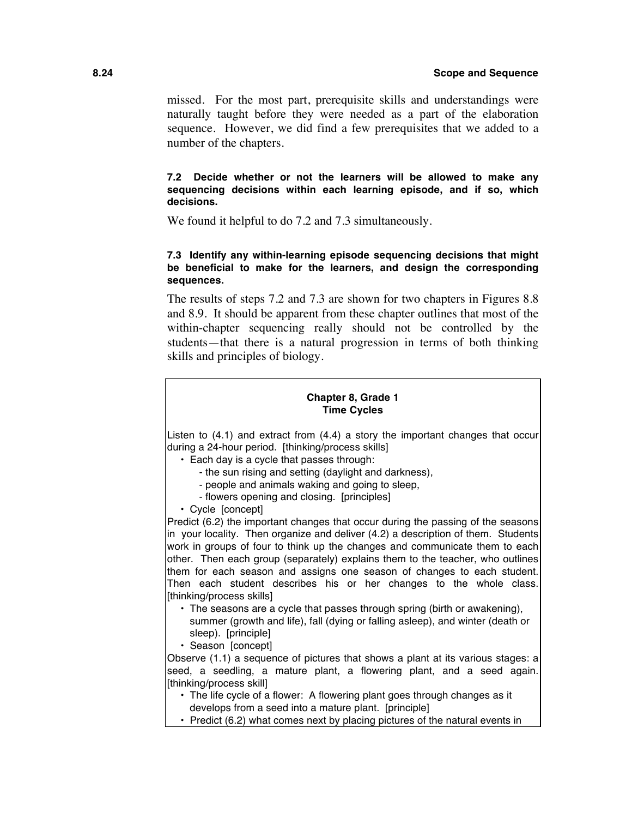#### **8.24 Scope and Sequence**

missed. For the most part, prerequisite skills and understandings were naturally taught before they were needed as a part of the elaboration sequence. However, we did find a few prerequisites that we added to a number of the chapters.

### **7.2 Decide whether or not the learners will be allowed to make any sequencing decisions within each learning episode, and if so, which decisions.**

We found it helpful to do 7.2 and 7.3 simultaneously.

## **7.3 Identify any within-learning episode sequencing decisions that might be beneficial to make for the learners, and design the corresponding sequences.**

The results of steps 7.2 and 7.3 are shown for two chapters in Figures 8.8 and 8.9. It should be apparent from these chapter outlines that most of the within-chapter sequencing really should not be controlled by the students—that there is a natural progression in terms of both thinking skills and principles of biology.

### **Chapter 8, Grade 1 Time Cycles**

Listen to (4.1) and extract from (4.4) a story the important changes that occur during a 24-hour period. [thinking/process skills]

- Each day is a cycle that passes through:
	- the sun rising and setting (daylight and darkness),
	- people and animals waking and going to sleep,
	- flowers opening and closing. [principles]
- Cycle [concept]

Predict (6.2) the important changes that occur during the passing of the seasons in your locality. Then organize and deliver (4.2) a description of them. Students work in groups of four to think up the changes and communicate them to each other. Then each group (separately) explains them to the teacher, who outlines them for each season and assigns one season of changes to each student. Then each student describes his or her changes to the whole class. [thinking/process skills]

- The seasons are a cycle that passes through spring (birth or awakening), summer (growth and life), fall (dying or falling asleep), and winter (death or sleep). [principle]
- Season [concept]

Observe (1.1) a sequence of pictures that shows a plant at its various stages: a seed, a seedling, a mature plant, a flowering plant, and a seed again. [thinking/process skill]

- The life cycle of a flower: A flowering plant goes through changes as it develops from a seed into a mature plant. [principle]
- Predict (6.2) what comes next by placing pictures of the natural events in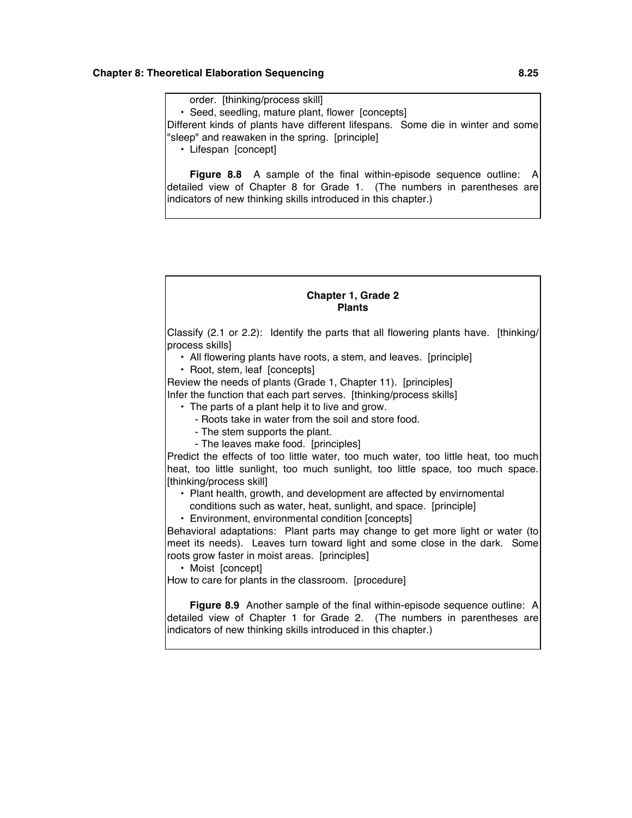order. [thinking/process skill] • Seed, seedling, mature plant, flower [concepts] Different kinds of plants have different lifespans. Some die in winter and some "sleep" and reawaken in the spring. [principle] • Lifespan [concept]

**Figure 8.8** A sample of the final within-episode sequence outline: A detailed view of Chapter 8 for Grade 1. (The numbers in parentheses are indicators of new thinking skills introduced in this chapter.)

#### **Chapter 1, Grade 2 Plants**

Classify (2.1 or 2.2): Identify the parts that all flowering plants have. [thinking/ process skills]

- All flowering plants have roots, a stem, and leaves. [principle]
- Root, stem, leaf [concepts]

Review the needs of plants (Grade 1, Chapter 11). [principles]

Infer the function that each part serves. [thinking/process skills]

- The parts of a plant help it to live and grow.
	- Roots take in water from the soil and store food.
	- The stem supports the plant.
	- The leaves make food. [principles]

Predict the effects of too little water, too much water, too little heat, too much heat, too little sunlight, too much sunlight, too little space, too much space. [thinking/process skill]

- Plant health, growth, and development are affected by envirnomental conditions such as water, heat, sunlight, and space. [principle]
- Environment, environmental condition [concepts]

Behavioral adaptations: Plant parts may change to get more light or water (to meet its needs). Leaves turn toward light and some close in the dark. Some roots grow faster in moist areas. [principles]

• Moist [concept]

How to care for plants in the classroom. [procedure]

**Figure 8.9** Another sample of the final within-episode sequence outline: A detailed view of Chapter 1 for Grade 2. (The numbers in parentheses are indicators of new thinking skills introduced in this chapter.)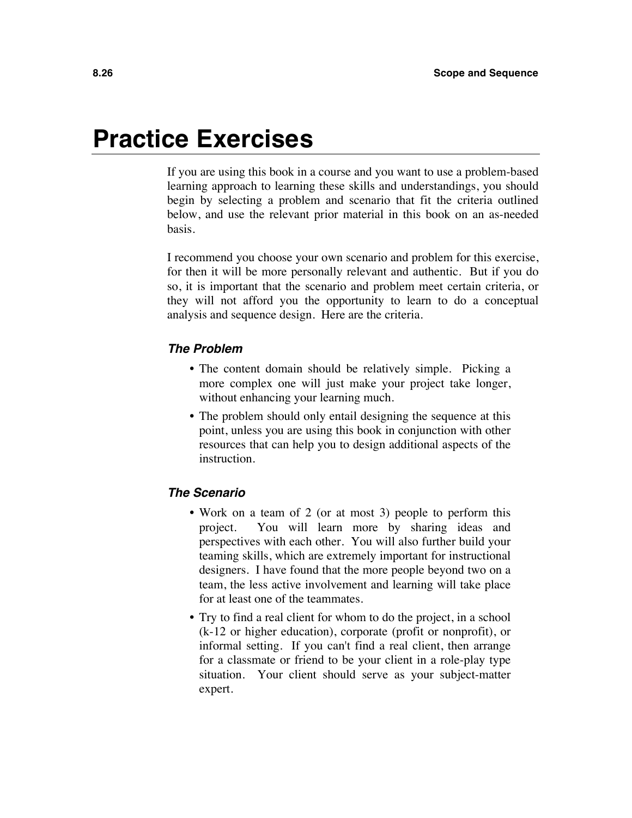# **Practice Exercises**

If you are using this book in a course and you want to use a problem-based learning approach to learning these skills and understandings, you should begin by selecting a problem and scenario that fit the criteria outlined below, and use the relevant prior material in this book on an as-needed basis.

I recommend you choose your own scenario and problem for this exercise, for then it will be more personally relevant and authentic. But if you do so, it is important that the scenario and problem meet certain criteria, or they will not afford you the opportunity to learn to do a conceptual analysis and sequence design. Here are the criteria.

## *The Problem*

- The content domain should be relatively simple. Picking a more complex one will just make your project take longer, without enhancing your learning much.
- The problem should only entail designing the sequence at this point, unless you are using this book in conjunction with other resources that can help you to design additional aspects of the instruction.

# *The Scenario*

- Work on a team of 2 (or at most 3) people to perform this project. You will learn more by sharing ideas and perspectives with each other. You will also further build your teaming skills, which are extremely important for instructional designers. I have found that the more people beyond two on a team, the less active involvement and learning will take place for at least one of the teammates.
- Try to find a real client for whom to do the project, in a school (k-12 or higher education), corporate (profit or nonprofit), or informal setting. If you can't find a real client, then arrange for a classmate or friend to be your client in a role-play type situation. Your client should serve as your subject-matter expert.